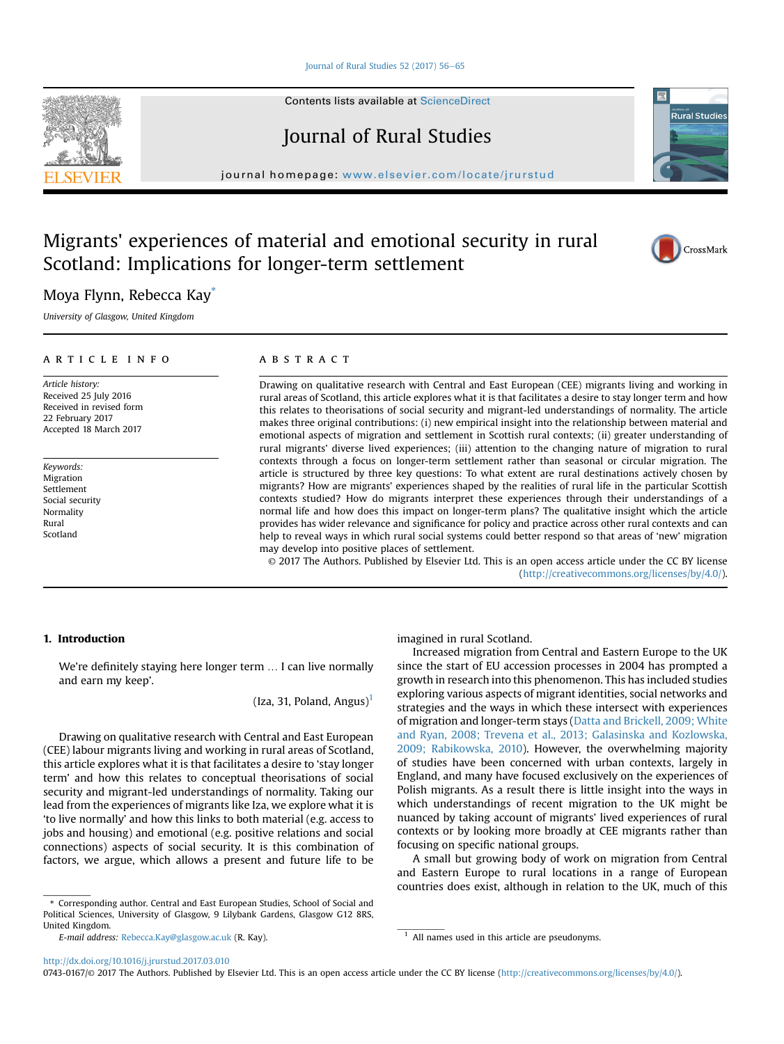[Journal of Rural Studies 52 \(2017\) 56](http://dx.doi.org/10.1016/j.jrurstud.2017.03.010)-[65](http://dx.doi.org/10.1016/j.jrurstud.2017.03.010)

Contents lists available at [ScienceDirect](www.sciencedirect.com/science/journal/07430167)

Journal of Rural Studies

journal homepage: [www.elsevier.com/locate/jrurstud](http://www.elsevier.com/locate/jrurstud)

# Migrants' experiences of material and emotional security in rural Scotland: Implications for longer-term settlement

# Moya Flynn, Rebecca Kay\*

University of Glasgow, United Kingdom

# article info

Article history: Received 25 July 2016 Received in revised form 22 February 2017 Accepted 18 March 2017

Keywords: Migration Settlement Social security Normality Rural Scotland

# **ABSTRACT**

Drawing on qualitative research with Central and East European (CEE) migrants living and working in rural areas of Scotland, this article explores what it is that facilitates a desire to stay longer term and how this relates to theorisations of social security and migrant-led understandings of normality. The article makes three original contributions: (i) new empirical insight into the relationship between material and emotional aspects of migration and settlement in Scottish rural contexts; (ii) greater understanding of rural migrants' diverse lived experiences; (iii) attention to the changing nature of migration to rural contexts through a focus on longer-term settlement rather than seasonal or circular migration. The article is structured by three key questions: To what extent are rural destinations actively chosen by migrants? How are migrants' experiences shaped by the realities of rural life in the particular Scottish contexts studied? How do migrants interpret these experiences through their understandings of a normal life and how does this impact on longer-term plans? The qualitative insight which the article provides has wider relevance and significance for policy and practice across other rural contexts and can help to reveal ways in which rural social systems could better respond so that areas of 'new' migration may develop into positive places of settlement.

© 2017 The Authors. Published by Elsevier Ltd. This is an open access article under the CC BY license [\(http://creativecommons.org/licenses/by/4.0/](http://creativecommons.org/licenses/by/4.0/)).

# 1. Introduction

We're definitely staying here longer term … I can live normally and earn my keep'.

(Iza, 31, Poland, Angus)<sup>1</sup>

Drawing on qualitative research with Central and East European (CEE) labour migrants living and working in rural areas of Scotland, this article explores what it is that facilitates a desire to 'stay longer term' and how this relates to conceptual theorisations of social security and migrant-led understandings of normality. Taking our lead from the experiences of migrants like Iza, we explore what it is 'to live normally' and how this links to both material (e.g. access to jobs and housing) and emotional (e.g. positive relations and social connections) aspects of social security. It is this combination of factors, we argue, which allows a present and future life to be

\* Corresponding author. Central and East European Studies, School of Social and Political Sciences, University of Glasgow, 9 Lilybank Gardens, Glasgow G12 8RS, United Kingdom.

E-mail address: [Rebecca.Kay@glasgow.ac.uk](mailto:Rebecca.Kay@glasgow.ac.uk) (R. Kay).  $1$  All names used in this article are pseudonyms.

imagined in rural Scotland.

Increased migration from Central and Eastern Europe to the UK since the start of EU accession processes in 2004 has prompted a growth in research into this phenomenon. This has included studies exploring various aspects of migrant identities, social networks and strategies and the ways in which these intersect with experiences of migration and longer-term stays [\(Datta and Brickell, 2009; White](#page-9-0) [and Ryan, 2008; Trevena et al., 2013; Galasinska and Kozlowska,](#page-9-0) [2009; Rabikowska, 2010](#page-9-0)). However, the overwhelming majority of studies have been concerned with urban contexts, largely in England, and many have focused exclusively on the experiences of Polish migrants. As a result there is little insight into the ways in which understandings of recent migration to the UK might be nuanced by taking account of migrants' lived experiences of rural contexts or by looking more broadly at CEE migrants rather than focusing on specific national groups.

A small but growing body of work on migration from Central and Eastern Europe to rural locations in a range of European countries does exist, although in relation to the UK, much of this

<http://dx.doi.org/10.1016/j.jrurstud.2017.03.010>

0743-0167/© 2017 The Authors. Published by Elsevier Ltd. This is an open access article under the CC BY license ([http://creativecommons.org/licenses/by/4.0/\)](http://creativecommons.org/licenses/by/4.0/).





CrossMark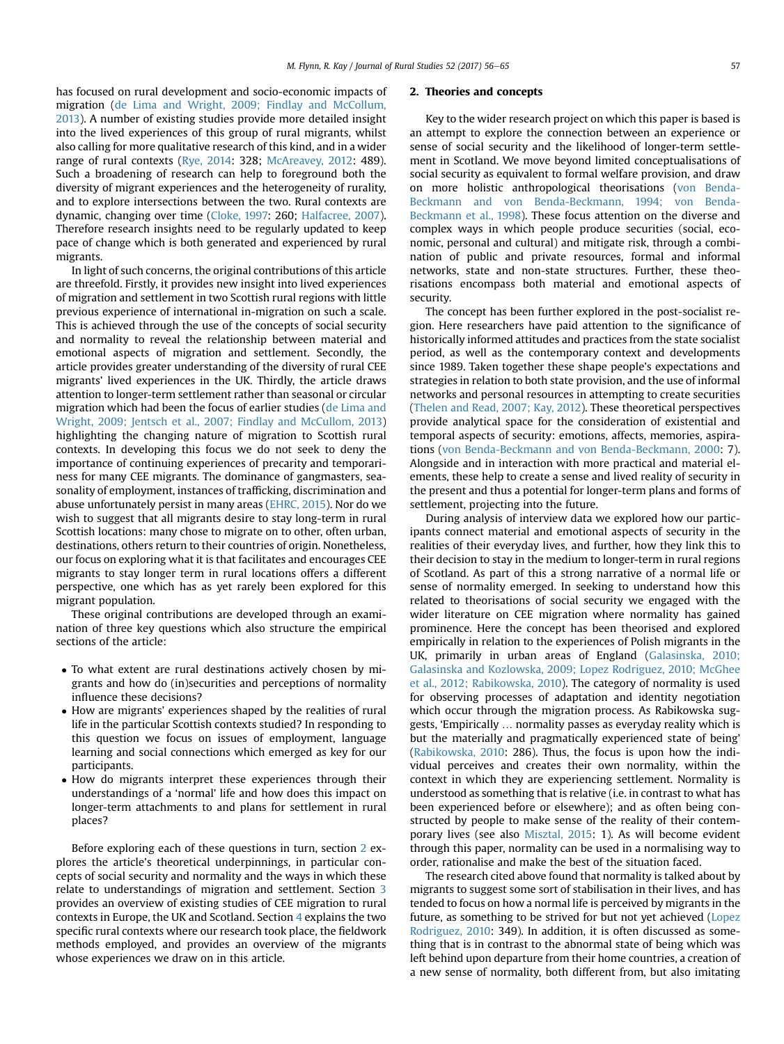has focused on rural development and socio-economic impacts of migration [\(de Lima and Wright, 2009; Findlay and McCollum,](#page-9-0) [2013\)](#page-9-0). A number of existing studies provide more detailed insight into the lived experiences of this group of rural migrants, whilst also calling for more qualitative research of this kind, and in a wider range of rural contexts [\(Rye, 2014:](#page-9-0) 328; [McAreavey, 2012:](#page-9-0) 489). Such a broadening of research can help to foreground both the diversity of migrant experiences and the heterogeneity of rurality, and to explore intersections between the two. Rural contexts are dynamic, changing over time [\(Cloke, 1997:](#page-9-0) 260; [Halfacree, 2007\)](#page-9-0). Therefore research insights need to be regularly updated to keep pace of change which is both generated and experienced by rural migrants.

In light of such concerns, the original contributions of this article are threefold. Firstly, it provides new insight into lived experiences of migration and settlement in two Scottish rural regions with little previous experience of international in-migration on such a scale. This is achieved through the use of the concepts of social security and normality to reveal the relationship between material and emotional aspects of migration and settlement. Secondly, the article provides greater understanding of the diversity of rural CEE migrants' lived experiences in the UK. Thirdly, the article draws attention to longer-term settlement rather than seasonal or circular migration which had been the focus of earlier studies ([de Lima and](#page-9-0) [Wright, 2009; Jentsch et al., 2007; Findlay and McCullom, 2013\)](#page-9-0) highlighting the changing nature of migration to Scottish rural contexts. In developing this focus we do not seek to deny the importance of continuing experiences of precarity and temporariness for many CEE migrants. The dominance of gangmasters, seasonality of employment, instances of trafficking, discrimination and abuse unfortunately persist in many areas ([EHRC, 2015\)](#page-9-0). Nor do we wish to suggest that all migrants desire to stay long-term in rural Scottish locations: many chose to migrate on to other, often urban, destinations, others return to their countries of origin. Nonetheless, our focus on exploring what it is that facilitates and encourages CEE migrants to stay longer term in rural locations offers a different perspective, one which has as yet rarely been explored for this migrant population.

These original contributions are developed through an examination of three key questions which also structure the empirical sections of the article:

- To what extent are rural destinations actively chosen by migrants and how do (in)securities and perceptions of normality influence these decisions?
- How are migrants' experiences shaped by the realities of rural life in the particular Scottish contexts studied? In responding to this question we focus on issues of employment, language learning and social connections which emerged as key for our participants.
- How do migrants interpret these experiences through their understandings of a 'normal' life and how does this impact on longer-term attachments to and plans for settlement in rural places?

Before exploring each of these questions in turn, section 2 explores the article's theoretical underpinnings, in particular concepts of social security and normality and the ways in which these relate to understandings of migration and settlement. Section [3](#page-2-0) provides an overview of existing studies of CEE migration to rural contexts in Europe, the UK and Scotland. Section [4](#page-3-0) explains the two specific rural contexts where our research took place, the fieldwork methods employed, and provides an overview of the migrants whose experiences we draw on in this article.

#### 2. Theories and concepts

Key to the wider research project on which this paper is based is an attempt to explore the connection between an experience or sense of social security and the likelihood of longer-term settlement in Scotland. We move beyond limited conceptualisations of social security as equivalent to formal welfare provision, and draw on more holistic anthropological theorisations ([von Benda-](#page-9-0)[Beckmann and von Benda-Beckmann, 1994; von Benda-](#page-9-0)[Beckmann et al., 1998](#page-9-0)). These focus attention on the diverse and complex ways in which people produce securities (social, economic, personal and cultural) and mitigate risk, through a combination of public and private resources, formal and informal networks, state and non-state structures. Further, these theorisations encompass both material and emotional aspects of security.

The concept has been further explored in the post-socialist region. Here researchers have paid attention to the significance of historically informed attitudes and practices from the state socialist period, as well as the contemporary context and developments since 1989. Taken together these shape people's expectations and strategies in relation to both state provision, and the use of informal networks and personal resources in attempting to create securities ([Thelen and Read, 2007; Kay, 2012\)](#page-9-0). These theoretical perspectives provide analytical space for the consideration of existential and temporal aspects of security: emotions, affects, memories, aspirations [\(von Benda-Beckmann and von Benda-Beckmann, 2000](#page-9-0): 7). Alongside and in interaction with more practical and material elements, these help to create a sense and lived reality of security in the present and thus a potential for longer-term plans and forms of settlement, projecting into the future.

During analysis of interview data we explored how our participants connect material and emotional aspects of security in the realities of their everyday lives, and further, how they link this to their decision to stay in the medium to longer-term in rural regions of Scotland. As part of this a strong narrative of a normal life or sense of normality emerged. In seeking to understand how this related to theorisations of social security we engaged with the wider literature on CEE migration where normality has gained prominence. Here the concept has been theorised and explored empirically in relation to the experiences of Polish migrants in the UK, primarily in urban areas of England [\(Galasinska, 2010;](#page-9-0) [Galasinska and Kozlowska, 2009; Lopez Rodriguez, 2010; McGhee](#page-9-0) [et al., 2012; Rabikowska, 2010\)](#page-9-0). The category of normality is used for observing processes of adaptation and identity negotiation which occur through the migration process. As Rabikowska suggests, 'Empirically … normality passes as everyday reality which is but the materially and pragmatically experienced state of being' ([Rabikowska, 2010](#page-9-0): 286). Thus, the focus is upon how the individual perceives and creates their own normality, within the context in which they are experiencing settlement. Normality is understood as something that is relative (i.e. in contrast to what has been experienced before or elsewhere); and as often being constructed by people to make sense of the reality of their contemporary lives (see also [Misztal, 2015:](#page-9-0) 1). As will become evident through this paper, normality can be used in a normalising way to order, rationalise and make the best of the situation faced.

The research cited above found that normality is talked about by migrants to suggest some sort of stabilisation in their lives, and has tended to focus on how a normal life is perceived by migrants in the future, as something to be strived for but not yet achieved ([Lopez](#page-9-0) [Rodriguez, 2010:](#page-9-0) 349). In addition, it is often discussed as something that is in contrast to the abnormal state of being which was left behind upon departure from their home countries, a creation of a new sense of normality, both different from, but also imitating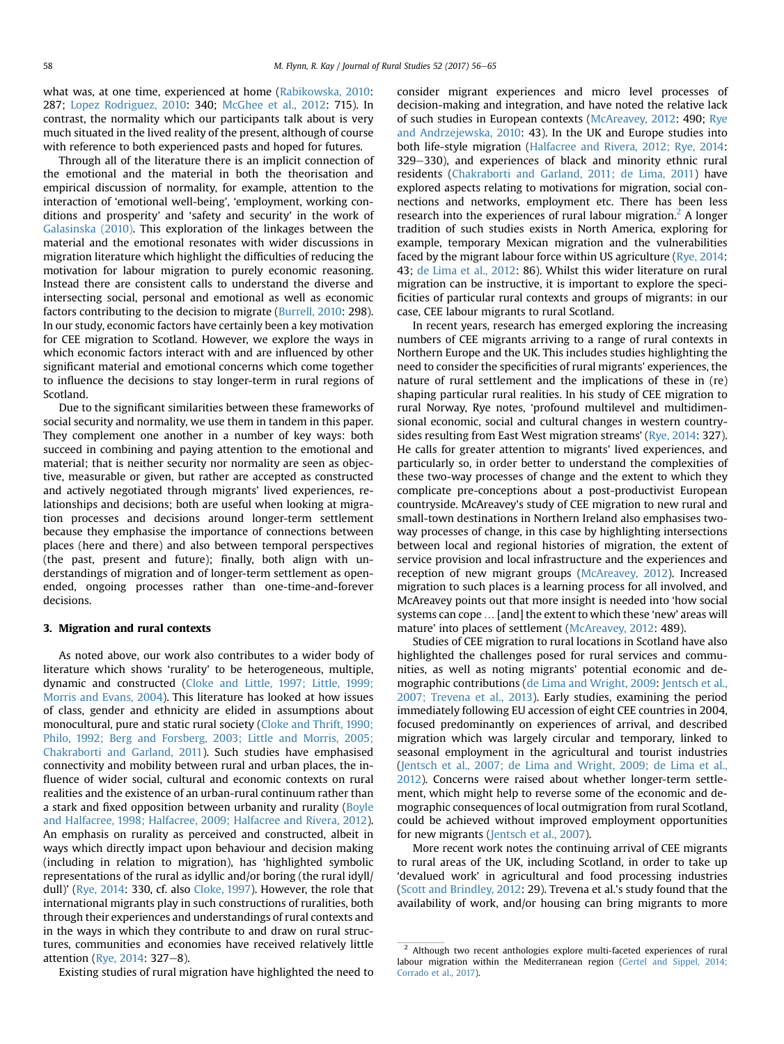<span id="page-2-0"></span>what was, at one time, experienced at home ([Rabikowska, 2010](#page-9-0): 287; [Lopez Rodriguez, 2010](#page-9-0): 340; [McGhee et al., 2012:](#page-9-0) 715). In contrast, the normality which our participants talk about is very much situated in the lived reality of the present, although of course with reference to both experienced pasts and hoped for futures.

Through all of the literature there is an implicit connection of the emotional and the material in both the theorisation and empirical discussion of normality, for example, attention to the interaction of 'emotional well-being', 'employment, working conditions and prosperity' and 'safety and security' in the work of [Galasinska \(2010\).](#page-9-0) This exploration of the linkages between the material and the emotional resonates with wider discussions in migration literature which highlight the difficulties of reducing the motivation for labour migration to purely economic reasoning. Instead there are consistent calls to understand the diverse and intersecting social, personal and emotional as well as economic factors contributing to the decision to migrate ([Burrell, 2010:](#page-9-0) 298). In our study, economic factors have certainly been a key motivation for CEE migration to Scotland. However, we explore the ways in which economic factors interact with and are influenced by other significant material and emotional concerns which come together to influence the decisions to stay longer-term in rural regions of Scotland.

Due to the significant similarities between these frameworks of social security and normality, we use them in tandem in this paper. They complement one another in a number of key ways: both succeed in combining and paying attention to the emotional and material; that is neither security nor normality are seen as objective, measurable or given, but rather are accepted as constructed and actively negotiated through migrants' lived experiences, relationships and decisions; both are useful when looking at migration processes and decisions around longer-term settlement because they emphasise the importance of connections between places (here and there) and also between temporal perspectives (the past, present and future); finally, both align with understandings of migration and of longer-term settlement as openended, ongoing processes rather than one-time-and-forever decisions.

# 3. Migration and rural contexts

As noted above, our work also contributes to a wider body of literature which shows 'rurality' to be heterogeneous, multiple, dynamic and constructed [\(Cloke and Little, 1997; Little, 1999;](#page-9-0) [Morris and Evans, 2004\)](#page-9-0). This literature has looked at how issues of class, gender and ethnicity are elided in assumptions about monocultural, pure and static rural society [\(Cloke and Thrift, 1990;](#page-9-0) [Philo, 1992; Berg and Forsberg, 2003; Little and Morris, 2005;](#page-9-0) [Chakraborti and Garland, 2011\)](#page-9-0). Such studies have emphasised connectivity and mobility between rural and urban places, the influence of wider social, cultural and economic contexts on rural realities and the existence of an urban-rural continuum rather than a stark and fixed opposition between urbanity and rurality [\(Boyle](#page-9-0) [and Halfacree, 1998; Halfacree, 2009; Halfacree and Rivera, 2012\)](#page-9-0). An emphasis on rurality as perceived and constructed, albeit in ways which directly impact upon behaviour and decision making (including in relation to migration), has 'highlighted symbolic representations of the rural as idyllic and/or boring (the rural idyll/ dull)' [\(Rye, 2014:](#page-9-0) 330, cf. also [Cloke, 1997\)](#page-9-0). However, the role that international migrants play in such constructions of ruralities, both through their experiences and understandings of rural contexts and in the ways in which they contribute to and draw on rural structures, communities and economies have received relatively little attention ([Rye, 2014](#page-9-0): 327-8).

Existing studies of rural migration have highlighted the need to

consider migrant experiences and micro level processes of decision-making and integration, and have noted the relative lack of such studies in European contexts ([McAreavey, 2012](#page-9-0): 490; [Rye](#page-9-0) [and Andrzejewska, 2010:](#page-9-0) 43). In the UK and Europe studies into both life-style migration ([Halfacree and Rivera, 2012; Rye, 2014](#page-9-0): 329-330), and experiences of black and minority ethnic rural residents ([Chakraborti and Garland, 2011; de Lima, 2011\)](#page-9-0) have explored aspects relating to motivations for migration, social connections and networks, employment etc. There has been less research into the experiences of rural labour migration.<sup>2</sup> A longer tradition of such studies exists in North America, exploring for example, temporary Mexican migration and the vulnerabilities faced by the migrant labour force within US agriculture [\(Rye, 2014](#page-9-0): 43; [de Lima et al., 2012:](#page-9-0) 86). Whilst this wider literature on rural migration can be instructive, it is important to explore the specificities of particular rural contexts and groups of migrants: in our case, CEE labour migrants to rural Scotland.

In recent years, research has emerged exploring the increasing numbers of CEE migrants arriving to a range of rural contexts in Northern Europe and the UK. This includes studies highlighting the need to consider the specificities of rural migrants' experiences, the nature of rural settlement and the implications of these in (re) shaping particular rural realities. In his study of CEE migration to rural Norway, Rye notes, 'profound multilevel and multidimensional economic, social and cultural changes in western countrysides resulting from East West migration streams' [\(Rye, 2014](#page-9-0): 327). He calls for greater attention to migrants' lived experiences, and particularly so, in order better to understand the complexities of these two-way processes of change and the extent to which they complicate pre-conceptions about a post-productivist European countryside. McAreavey's study of CEE migration to new rural and small-town destinations in Northern Ireland also emphasises twoway processes of change, in this case by highlighting intersections between local and regional histories of migration, the extent of service provision and local infrastructure and the experiences and reception of new migrant groups ([McAreavey, 2012\)](#page-9-0). Increased migration to such places is a learning process for all involved, and McAreavey points out that more insight is needed into 'how social systems can cope … [and] the extent to which these 'new' areas will mature' into places of settlement ([McAreavey, 2012:](#page-9-0) 489).

Studies of CEE migration to rural locations in Scotland have also highlighted the challenges posed for rural services and communities, as well as noting migrants' potential economic and demographic contributions [\(de Lima and Wright, 2009](#page-9-0): [Jentsch et al.,](#page-9-0) [2007; Trevena et al., 2013\)](#page-9-0). Early studies, examining the period immediately following EU accession of eight CEE countries in 2004, focused predominantly on experiences of arrival, and described migration which was largely circular and temporary, linked to seasonal employment in the agricultural and tourist industries ([Jentsch et al., 2007; de Lima and Wright, 2009; de Lima et al.,](#page-9-0) [2012](#page-9-0)). Concerns were raised about whether longer-term settlement, which might help to reverse some of the economic and demographic consequences of local outmigration from rural Scotland, could be achieved without improved employment opportunities for new migrants ([Jentsch et al., 2007\)](#page-9-0).

More recent work notes the continuing arrival of CEE migrants to rural areas of the UK, including Scotland, in order to take up 'devalued work' in agricultural and food processing industries ([Scott and Brindley, 2012:](#page-9-0) 29). Trevena et al.'s study found that the availability of work, and/or housing can bring migrants to more

<sup>&</sup>lt;sup>2</sup> Although two recent anthologies explore multi-faceted experiences of rural labour migration within the Mediterranean region [\(Gertel and Sippel, 2014;](#page-9-0) [Corrado et al., 2017](#page-9-0)).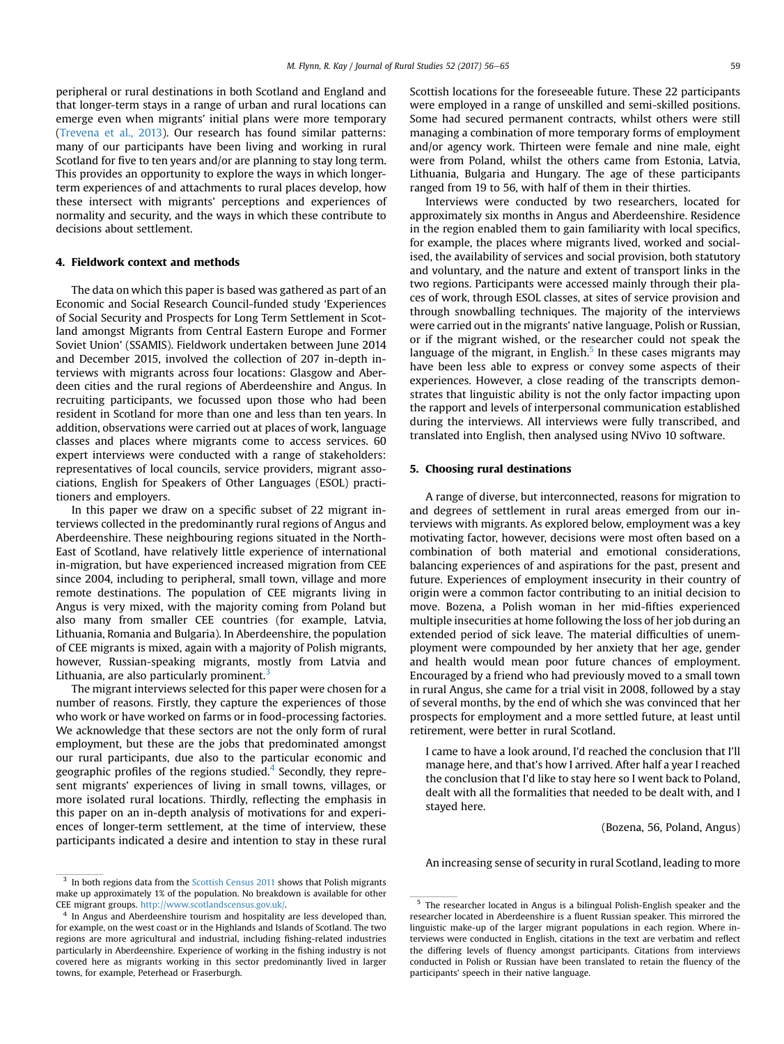<span id="page-3-0"></span>peripheral or rural destinations in both Scotland and England and that longer-term stays in a range of urban and rural locations can emerge even when migrants' initial plans were more temporary ([Trevena et al., 2013](#page-9-0)). Our research has found similar patterns: many of our participants have been living and working in rural Scotland for five to ten years and/or are planning to stay long term. This provides an opportunity to explore the ways in which longerterm experiences of and attachments to rural places develop, how these intersect with migrants' perceptions and experiences of normality and security, and the ways in which these contribute to decisions about settlement.

# 4. Fieldwork context and methods

The data on which this paper is based was gathered as part of an Economic and Social Research Council-funded study 'Experiences of Social Security and Prospects for Long Term Settlement in Scotland amongst Migrants from Central Eastern Europe and Former Soviet Union' (SSAMIS). Fieldwork undertaken between June 2014 and December 2015, involved the collection of 207 in-depth interviews with migrants across four locations: Glasgow and Aberdeen cities and the rural regions of Aberdeenshire and Angus. In recruiting participants, we focussed upon those who had been resident in Scotland for more than one and less than ten years. In addition, observations were carried out at places of work, language classes and places where migrants come to access services. 60 expert interviews were conducted with a range of stakeholders: representatives of local councils, service providers, migrant associations, English for Speakers of Other Languages (ESOL) practitioners and employers.

In this paper we draw on a specific subset of 22 migrant interviews collected in the predominantly rural regions of Angus and Aberdeenshire. These neighbouring regions situated in the North-East of Scotland, have relatively little experience of international in-migration, but have experienced increased migration from CEE since 2004, including to peripheral, small town, village and more remote destinations. The population of CEE migrants living in Angus is very mixed, with the majority coming from Poland but also many from smaller CEE countries (for example, Latvia, Lithuania, Romania and Bulgaria). In Aberdeenshire, the population of CEE migrants is mixed, again with a majority of Polish migrants, however, Russian-speaking migrants, mostly from Latvia and Lithuania, are also particularly prominent.<sup>3</sup>

The migrant interviews selected for this paper were chosen for a number of reasons. Firstly, they capture the experiences of those who work or have worked on farms or in food-processing factories. We acknowledge that these sectors are not the only form of rural employment, but these are the jobs that predominated amongst our rural participants, due also to the particular economic and geographic profiles of the regions studied.<sup>4</sup> Secondly, they represent migrants' experiences of living in small towns, villages, or more isolated rural locations. Thirdly, reflecting the emphasis in this paper on an in-depth analysis of motivations for and experiences of longer-term settlement, at the time of interview, these participants indicated a desire and intention to stay in these rural Scottish locations for the foreseeable future. These 22 participants were employed in a range of unskilled and semi-skilled positions. Some had secured permanent contracts, whilst others were still managing a combination of more temporary forms of employment and/or agency work. Thirteen were female and nine male, eight were from Poland, whilst the others came from Estonia, Latvia, Lithuania, Bulgaria and Hungary. The age of these participants ranged from 19 to 56, with half of them in their thirties.

Interviews were conducted by two researchers, located for approximately six months in Angus and Aberdeenshire. Residence in the region enabled them to gain familiarity with local specifics, for example, the places where migrants lived, worked and socialised, the availability of services and social provision, both statutory and voluntary, and the nature and extent of transport links in the two regions. Participants were accessed mainly through their places of work, through ESOL classes, at sites of service provision and through snowballing techniques. The majority of the interviews were carried out in the migrants' native language, Polish or Russian, or if the migrant wished, or the researcher could not speak the language of the migrant, in English. $<sup>5</sup>$  In these cases migrants may</sup> have been less able to express or convey some aspects of their experiences. However, a close reading of the transcripts demonstrates that linguistic ability is not the only factor impacting upon the rapport and levels of interpersonal communication established during the interviews. All interviews were fully transcribed, and translated into English, then analysed using NVivo 10 software.

# 5. Choosing rural destinations

A range of diverse, but interconnected, reasons for migration to and degrees of settlement in rural areas emerged from our interviews with migrants. As explored below, employment was a key motivating factor, however, decisions were most often based on a combination of both material and emotional considerations, balancing experiences of and aspirations for the past, present and future. Experiences of employment insecurity in their country of origin were a common factor contributing to an initial decision to move. Bozena, a Polish woman in her mid-fifties experienced multiple insecurities at home following the loss of her job during an extended period of sick leave. The material difficulties of unemployment were compounded by her anxiety that her age, gender and health would mean poor future chances of employment. Encouraged by a friend who had previously moved to a small town in rural Angus, she came for a trial visit in 2008, followed by a stay of several months, by the end of which she was convinced that her prospects for employment and a more settled future, at least until retirement, were better in rural Scotland.

I came to have a look around, I'd reached the conclusion that I'll manage here, and that's how I arrived. After half a year I reached the conclusion that I'd like to stay here so I went back to Poland, dealt with all the formalities that needed to be dealt with, and I stayed here.

(Bozena, 56, Poland, Angus)

An increasing sense of security in rural Scotland, leading to more

<sup>&</sup>lt;sup>3</sup> In both regions data from the [Scottish Census 2011](#page-9-0) shows that Polish migrants make up approximately 1% of the population. No breakdown is available for other CEE migrant groups. [http://www.scotlandscensus.gov.uk/.](http://www.scotlandscensus.gov.uk/)

In Angus and Aberdeenshire tourism and hospitality are less developed than, for example, on the west coast or in the Highlands and Islands of Scotland. The two regions are more agricultural and industrial, including fishing-related industries particularly in Aberdeenshire. Experience of working in the fishing industry is not covered here as migrants working in this sector predominantly lived in larger towns, for example, Peterhead or Fraserburgh.

<sup>5</sup> The researcher located in Angus is a bilingual Polish-English speaker and the researcher located in Aberdeenshire is a fluent Russian speaker. This mirrored the linguistic make-up of the larger migrant populations in each region. Where interviews were conducted in English, citations in the text are verbatim and reflect the differing levels of fluency amongst participants. Citations from interviews conducted in Polish or Russian have been translated to retain the fluency of the participants' speech in their native language.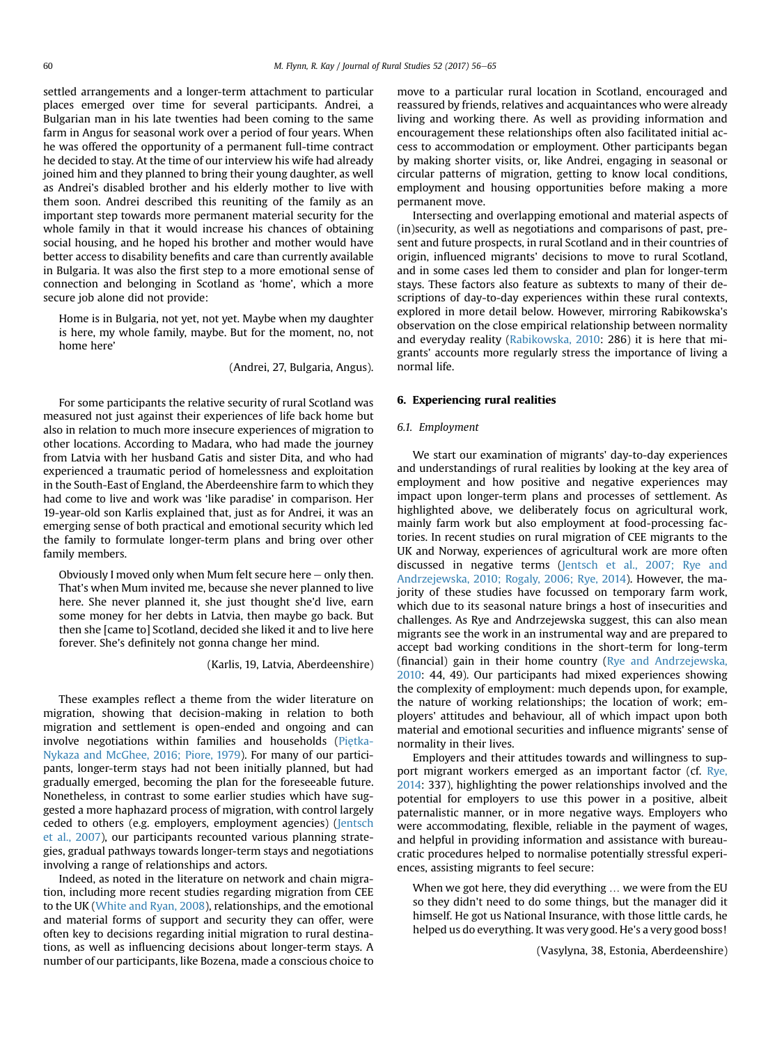settled arrangements and a longer-term attachment to particular places emerged over time for several participants. Andrei, a Bulgarian man in his late twenties had been coming to the same farm in Angus for seasonal work over a period of four years. When he was offered the opportunity of a permanent full-time contract he decided to stay. At the time of our interview his wife had already joined him and they planned to bring their young daughter, as well as Andrei's disabled brother and his elderly mother to live with them soon. Andrei described this reuniting of the family as an important step towards more permanent material security for the whole family in that it would increase his chances of obtaining social housing, and he hoped his brother and mother would have better access to disability benefits and care than currently available in Bulgaria. It was also the first step to a more emotional sense of connection and belonging in Scotland as 'home', which a more secure job alone did not provide:

Home is in Bulgaria, not yet, not yet. Maybe when my daughter is here, my whole family, maybe. But for the moment, no, not home here'

(Andrei, 27, Bulgaria, Angus).

For some participants the relative security of rural Scotland was measured not just against their experiences of life back home but also in relation to much more insecure experiences of migration to other locations. According to Madara, who had made the journey from Latvia with her husband Gatis and sister Dita, and who had experienced a traumatic period of homelessness and exploitation in the South-East of England, the Aberdeenshire farm to which they had come to live and work was 'like paradise' in comparison. Her 19-year-old son Karlis explained that, just as for Andrei, it was an emerging sense of both practical and emotional security which led the family to formulate longer-term plans and bring over other family members.

Obviously I moved only when Mum felt secure here  $-$  only then. That's when Mum invited me, because she never planned to live here. She never planned it, she just thought she'd live, earn some money for her debts in Latvia, then maybe go back. But then she [came to] Scotland, decided she liked it and to live here forever. She's definitely not gonna change her mind.

(Karlis, 19, Latvia, Aberdeenshire)

These examples reflect a theme from the wider literature on migration, showing that decision-making in relation to both migration and settlement is open-ended and ongoing and can involve negotiations within families and households [\(Pi](#page-9-0)e[tka-](#page-9-0)[Nykaza and McGhee, 2016; Piore, 1979\)](#page-9-0). For many of our participants, longer-term stays had not been initially planned, but had gradually emerged, becoming the plan for the foreseeable future. Nonetheless, in contrast to some earlier studies which have suggested a more haphazard process of migration, with control largely ceded to others (e.g. employers, employment agencies) ([Jentsch](#page-9-0) [et al., 2007\)](#page-9-0), our participants recounted various planning strategies, gradual pathways towards longer-term stays and negotiations involving a range of relationships and actors.

Indeed, as noted in the literature on network and chain migration, including more recent studies regarding migration from CEE to the UK ([White and Ryan, 2008\)](#page-9-0), relationships, and the emotional and material forms of support and security they can offer, were often key to decisions regarding initial migration to rural destinations, as well as influencing decisions about longer-term stays. A number of our participants, like Bozena, made a conscious choice to move to a particular rural location in Scotland, encouraged and reassured by friends, relatives and acquaintances who were already living and working there. As well as providing information and encouragement these relationships often also facilitated initial access to accommodation or employment. Other participants began by making shorter visits, or, like Andrei, engaging in seasonal or circular patterns of migration, getting to know local conditions, employment and housing opportunities before making a more permanent move.

Intersecting and overlapping emotional and material aspects of (in)security, as well as negotiations and comparisons of past, present and future prospects, in rural Scotland and in their countries of origin, influenced migrants' decisions to move to rural Scotland, and in some cases led them to consider and plan for longer-term stays. These factors also feature as subtexts to many of their descriptions of day-to-day experiences within these rural contexts, explored in more detail below. However, mirroring Rabikowska's observation on the close empirical relationship between normality and everyday reality [\(Rabikowska, 2010:](#page-9-0) 286) it is here that migrants' accounts more regularly stress the importance of living a normal life.

# 6. Experiencing rural realities

## 6.1. Employment

We start our examination of migrants' day-to-day experiences and understandings of rural realities by looking at the key area of employment and how positive and negative experiences may impact upon longer-term plans and processes of settlement. As highlighted above, we deliberately focus on agricultural work, mainly farm work but also employment at food-processing factories. In recent studies on rural migration of CEE migrants to the UK and Norway, experiences of agricultural work are more often discussed in negative terms [\(Jentsch et al., 2007; Rye and](#page-9-0) [Andrzejewska, 2010; Rogaly, 2006; Rye, 2014\)](#page-9-0). However, the majority of these studies have focussed on temporary farm work, which due to its seasonal nature brings a host of insecurities and challenges. As Rye and Andrzejewska suggest, this can also mean migrants see the work in an instrumental way and are prepared to accept bad working conditions in the short-term for long-term (financial) gain in their home country [\(Rye and Andrzejewska,](#page-9-0) [2010:](#page-9-0) 44, 49). Our participants had mixed experiences showing the complexity of employment: much depends upon, for example, the nature of working relationships; the location of work; employers' attitudes and behaviour, all of which impact upon both material and emotional securities and influence migrants' sense of normality in their lives.

Employers and their attitudes towards and willingness to support migrant workers emerged as an important factor (cf. [Rye,](#page-9-0) [2014:](#page-9-0) 337), highlighting the power relationships involved and the potential for employers to use this power in a positive, albeit paternalistic manner, or in more negative ways. Employers who were accommodating, flexible, reliable in the payment of wages, and helpful in providing information and assistance with bureaucratic procedures helped to normalise potentially stressful experiences, assisting migrants to feel secure:

When we got here, they did everything … we were from the EU so they didn't need to do some things, but the manager did it himself. He got us National Insurance, with those little cards, he helped us do everything. It was very good. He's a very good boss!

(Vasylyna, 38, Estonia, Aberdeenshire)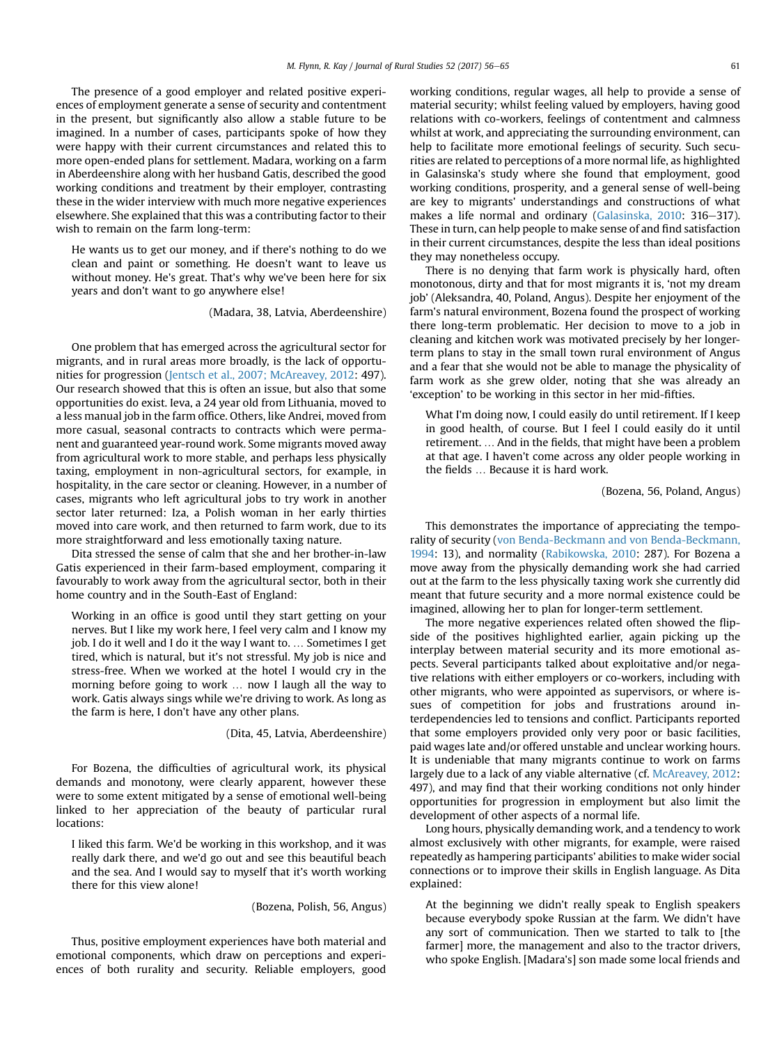The presence of a good employer and related positive experiences of employment generate a sense of security and contentment in the present, but significantly also allow a stable future to be imagined. In a number of cases, participants spoke of how they were happy with their current circumstances and related this to more open-ended plans for settlement. Madara, working on a farm in Aberdeenshire along with her husband Gatis, described the good working conditions and treatment by their employer, contrasting these in the wider interview with much more negative experiences elsewhere. She explained that this was a contributing factor to their wish to remain on the farm long-term:

He wants us to get our money, and if there's nothing to do we clean and paint or something. He doesn't want to leave us without money. He's great. That's why we've been here for six years and don't want to go anywhere else!

(Madara, 38, Latvia, Aberdeenshire)

One problem that has emerged across the agricultural sector for migrants, and in rural areas more broadly, is the lack of opportunities for progression [\(Jentsch et al., 2007; McAreavey, 2012](#page-9-0): 497). Our research showed that this is often an issue, but also that some opportunities do exist. Ieva, a 24 year old from Lithuania, moved to a less manual job in the farm office. Others, like Andrei, moved from more casual, seasonal contracts to contracts which were permanent and guaranteed year-round work. Some migrants moved away from agricultural work to more stable, and perhaps less physically taxing, employment in non-agricultural sectors, for example, in hospitality, in the care sector or cleaning. However, in a number of cases, migrants who left agricultural jobs to try work in another sector later returned: Iza, a Polish woman in her early thirties moved into care work, and then returned to farm work, due to its more straightforward and less emotionally taxing nature.

Dita stressed the sense of calm that she and her brother-in-law Gatis experienced in their farm-based employment, comparing it favourably to work away from the agricultural sector, both in their home country and in the South-East of England:

Working in an office is good until they start getting on your nerves. But I like my work here, I feel very calm and I know my job. I do it well and I do it the way I want to. … Sometimes I get tired, which is natural, but it's not stressful. My job is nice and stress-free. When we worked at the hotel I would cry in the morning before going to work … now I laugh all the way to work. Gatis always sings while we're driving to work. As long as the farm is here, I don't have any other plans.

(Dita, 45, Latvia, Aberdeenshire)

For Bozena, the difficulties of agricultural work, its physical demands and monotony, were clearly apparent, however these were to some extent mitigated by a sense of emotional well-being linked to her appreciation of the beauty of particular rural locations:

I liked this farm. We'd be working in this workshop, and it was really dark there, and we'd go out and see this beautiful beach and the sea. And I would say to myself that it's worth working there for this view alone!

(Bozena, Polish, 56, Angus)

Thus, positive employment experiences have both material and emotional components, which draw on perceptions and experiences of both rurality and security. Reliable employers, good working conditions, regular wages, all help to provide a sense of material security; whilst feeling valued by employers, having good relations with co-workers, feelings of contentment and calmness whilst at work, and appreciating the surrounding environment, can help to facilitate more emotional feelings of security. Such securities are related to perceptions of a more normal life, as highlighted in Galasinska's study where she found that employment, good working conditions, prosperity, and a general sense of well-being are key to migrants' understandings and constructions of what makes a life normal and ordinary ([Galasinska, 2010:](#page-9-0) 316-317). These in turn, can help people to make sense of and find satisfaction in their current circumstances, despite the less than ideal positions they may nonetheless occupy.

There is no denying that farm work is physically hard, often monotonous, dirty and that for most migrants it is, 'not my dream job' (Aleksandra, 40, Poland, Angus). Despite her enjoyment of the farm's natural environment, Bozena found the prospect of working there long-term problematic. Her decision to move to a job in cleaning and kitchen work was motivated precisely by her longerterm plans to stay in the small town rural environment of Angus and a fear that she would not be able to manage the physicality of farm work as she grew older, noting that she was already an 'exception' to be working in this sector in her mid-fifties.

What I'm doing now, I could easily do until retirement. If I keep in good health, of course. But I feel I could easily do it until retirement. … And in the fields, that might have been a problem at that age. I haven't come across any older people working in the fields … Because it is hard work.

(Bozena, 56, Poland, Angus)

This demonstrates the importance of appreciating the temporality of security ([von Benda-Beckmann and von Benda-Beckmann,](#page-9-0) [1994:](#page-9-0) 13), and normality ([Rabikowska, 2010](#page-9-0): 287). For Bozena a move away from the physically demanding work she had carried out at the farm to the less physically taxing work she currently did meant that future security and a more normal existence could be imagined, allowing her to plan for longer-term settlement.

The more negative experiences related often showed the flipside of the positives highlighted earlier, again picking up the interplay between material security and its more emotional aspects. Several participants talked about exploitative and/or negative relations with either employers or co-workers, including with other migrants, who were appointed as supervisors, or where issues of competition for jobs and frustrations around interdependencies led to tensions and conflict. Participants reported that some employers provided only very poor or basic facilities, paid wages late and/or offered unstable and unclear working hours. It is undeniable that many migrants continue to work on farms largely due to a lack of any viable alternative (cf. [McAreavey, 2012:](#page-9-0) 497), and may find that their working conditions not only hinder opportunities for progression in employment but also limit the development of other aspects of a normal life.

Long hours, physically demanding work, and a tendency to work almost exclusively with other migrants, for example, were raised repeatedly as hampering participants' abilities to make wider social connections or to improve their skills in English language. As Dita explained:

At the beginning we didn't really speak to English speakers because everybody spoke Russian at the farm. We didn't have any sort of communication. Then we started to talk to [the farmer] more, the management and also to the tractor drivers, who spoke English. [Madara's] son made some local friends and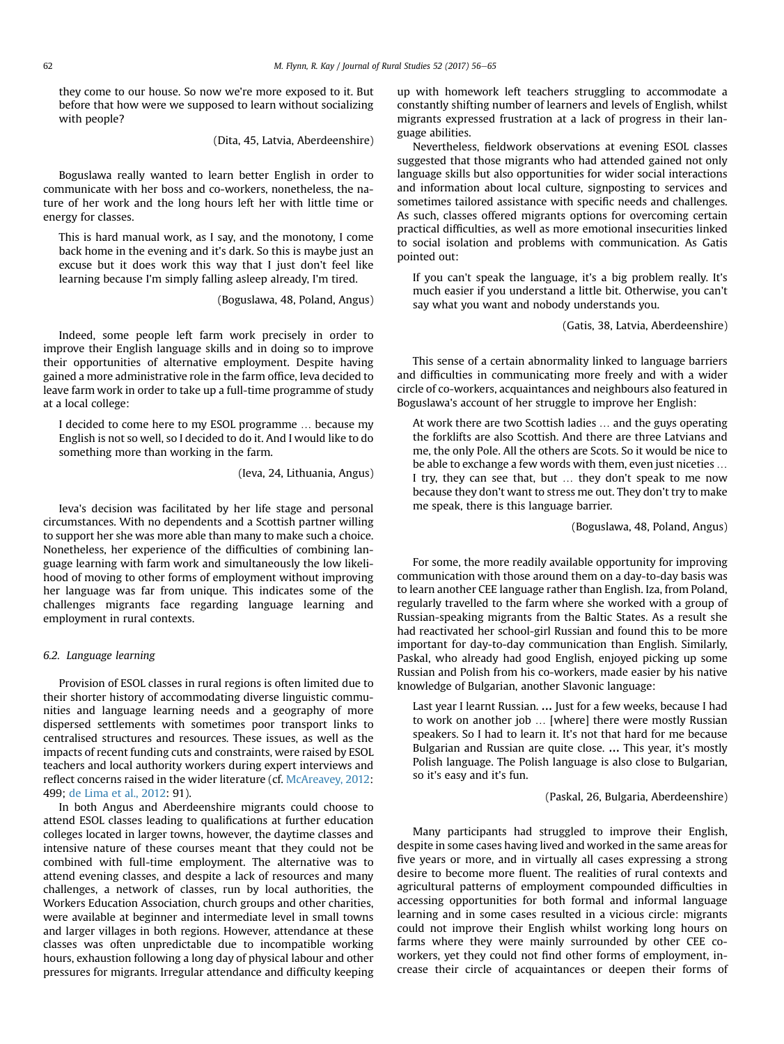they come to our house. So now we're more exposed to it. But before that how were we supposed to learn without socializing with people?

(Dita, 45, Latvia, Aberdeenshire)

Boguslawa really wanted to learn better English in order to communicate with her boss and co-workers, nonetheless, the nature of her work and the long hours left her with little time or energy for classes.

This is hard manual work, as I say, and the monotony, I come back home in the evening and it's dark. So this is maybe just an excuse but it does work this way that I just don't feel like learning because I'm simply falling asleep already, I'm tired.

(Boguslawa, 48, Poland, Angus)

Indeed, some people left farm work precisely in order to improve their English language skills and in doing so to improve their opportunities of alternative employment. Despite having gained a more administrative role in the farm office, Ieva decided to leave farm work in order to take up a full-time programme of study at a local college:

I decided to come here to my ESOL programme … because my English is not so well, so I decided to do it. And I would like to do something more than working in the farm.

(Ieva, 24, Lithuania, Angus)

Ieva's decision was facilitated by her life stage and personal circumstances. With no dependents and a Scottish partner willing to support her she was more able than many to make such a choice. Nonetheless, her experience of the difficulties of combining language learning with farm work and simultaneously the low likelihood of moving to other forms of employment without improving her language was far from unique. This indicates some of the challenges migrants face regarding language learning and employment in rural contexts.

# 6.2. Language learning

Provision of ESOL classes in rural regions is often limited due to their shorter history of accommodating diverse linguistic communities and language learning needs and a geography of more dispersed settlements with sometimes poor transport links to centralised structures and resources. These issues, as well as the impacts of recent funding cuts and constraints, were raised by ESOL teachers and local authority workers during expert interviews and reflect concerns raised in the wider literature (cf. [McAreavey, 2012](#page-9-0): 499; [de Lima et al., 2012](#page-9-0): 91).

In both Angus and Aberdeenshire migrants could choose to attend ESOL classes leading to qualifications at further education colleges located in larger towns, however, the daytime classes and intensive nature of these courses meant that they could not be combined with full-time employment. The alternative was to attend evening classes, and despite a lack of resources and many challenges, a network of classes, run by local authorities, the Workers Education Association, church groups and other charities, were available at beginner and intermediate level in small towns and larger villages in both regions. However, attendance at these classes was often unpredictable due to incompatible working hours, exhaustion following a long day of physical labour and other pressures for migrants. Irregular attendance and difficulty keeping up with homework left teachers struggling to accommodate a constantly shifting number of learners and levels of English, whilst migrants expressed frustration at a lack of progress in their language abilities.

Nevertheless, fieldwork observations at evening ESOL classes suggested that those migrants who had attended gained not only language skills but also opportunities for wider social interactions and information about local culture, signposting to services and sometimes tailored assistance with specific needs and challenges. As such, classes offered migrants options for overcoming certain practical difficulties, as well as more emotional insecurities linked to social isolation and problems with communication. As Gatis pointed out:

If you can't speak the language, it's a big problem really. It's much easier if you understand a little bit. Otherwise, you can't say what you want and nobody understands you.

(Gatis, 38, Latvia, Aberdeenshire)

This sense of a certain abnormality linked to language barriers and difficulties in communicating more freely and with a wider circle of co-workers, acquaintances and neighbours also featured in Boguslawa's account of her struggle to improve her English:

At work there are two Scottish ladies … and the guys operating the forklifts are also Scottish. And there are three Latvians and me, the only Pole. All the others are Scots. So it would be nice to be able to exchange a few words with them, even just niceties … I try, they can see that, but … they don't speak to me now because they don't want to stress me out. They don't try to make me speak, there is this language barrier.

(Boguslawa, 48, Poland, Angus)

For some, the more readily available opportunity for improving communication with those around them on a day-to-day basis was to learn another CEE language rather than English. Iza, from Poland, regularly travelled to the farm where she worked with a group of Russian-speaking migrants from the Baltic States. As a result she had reactivated her school-girl Russian and found this to be more important for day-to-day communication than English. Similarly, Paskal, who already had good English, enjoyed picking up some Russian and Polish from his co-workers, made easier by his native knowledge of Bulgarian, another Slavonic language:

Last year I learnt Russian. … Just for a few weeks, because I had to work on another job … [where] there were mostly Russian speakers. So I had to learn it. It's not that hard for me because Bulgarian and Russian are quite close. … This year, it's mostly Polish language. The Polish language is also close to Bulgarian, so it's easy and it's fun.

# (Paskal, 26, Bulgaria, Aberdeenshire)

Many participants had struggled to improve their English, despite in some cases having lived and worked in the same areas for five years or more, and in virtually all cases expressing a strong desire to become more fluent. The realities of rural contexts and agricultural patterns of employment compounded difficulties in accessing opportunities for both formal and informal language learning and in some cases resulted in a vicious circle: migrants could not improve their English whilst working long hours on farms where they were mainly surrounded by other CEE coworkers, yet they could not find other forms of employment, increase their circle of acquaintances or deepen their forms of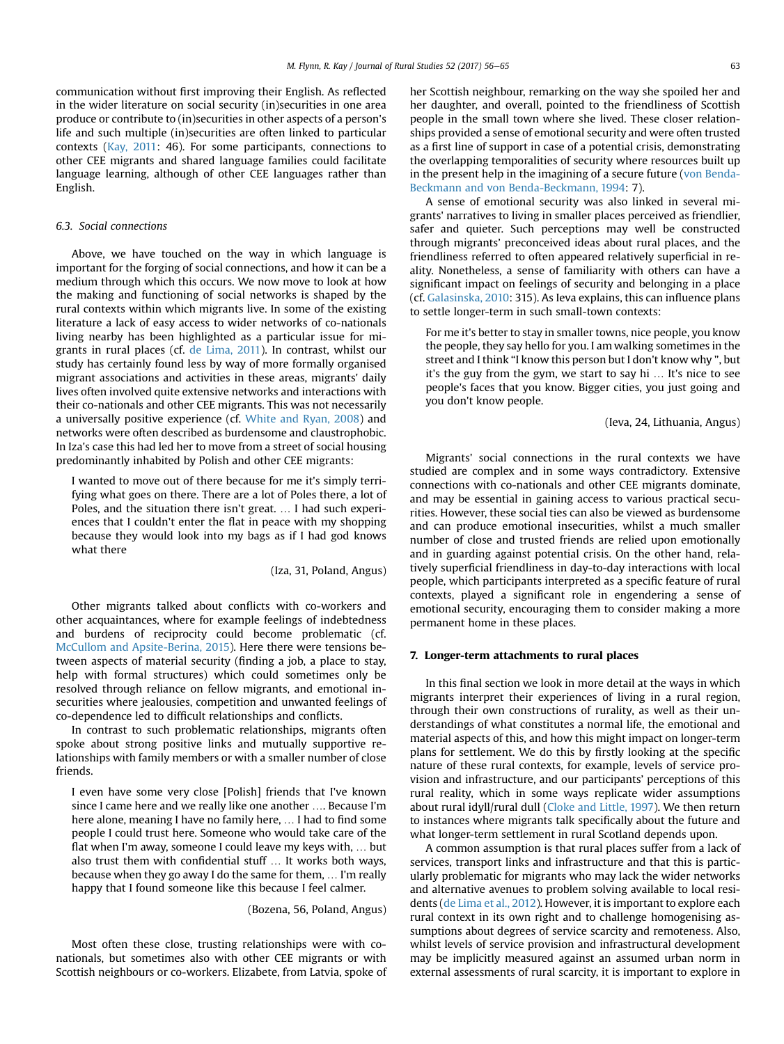communication without first improving their English. As reflected in the wider literature on social security (in)securities in one area produce or contribute to (in)securities in other aspects of a person's life and such multiple (in)securities are often linked to particular contexts ([Kay, 2011](#page-9-0): 46). For some participants, connections to other CEE migrants and shared language families could facilitate language learning, although of other CEE languages rather than English.

# 6.3. Social connections

Above, we have touched on the way in which language is important for the forging of social connections, and how it can be a medium through which this occurs. We now move to look at how the making and functioning of social networks is shaped by the rural contexts within which migrants live. In some of the existing literature a lack of easy access to wider networks of co-nationals living nearby has been highlighted as a particular issue for migrants in rural places (cf. [de Lima, 2011](#page-9-0)). In contrast, whilst our study has certainly found less by way of more formally organised migrant associations and activities in these areas, migrants' daily lives often involved quite extensive networks and interactions with their co-nationals and other CEE migrants. This was not necessarily a universally positive experience (cf. [White and Ryan, 2008](#page-9-0)) and networks were often described as burdensome and claustrophobic. In Iza's case this had led her to move from a street of social housing predominantly inhabited by Polish and other CEE migrants:

I wanted to move out of there because for me it's simply terrifying what goes on there. There are a lot of Poles there, a lot of Poles, and the situation there isn't great. … I had such experiences that I couldn't enter the flat in peace with my shopping because they would look into my bags as if I had god knows what there

(Iza, 31, Poland, Angus)

Other migrants talked about conflicts with co-workers and other acquaintances, where for example feelings of indebtedness and burdens of reciprocity could become problematic (cf. [McCullom and Apsite-Berina, 2015\)](#page-9-0). Here there were tensions between aspects of material security (finding a job, a place to stay, help with formal structures) which could sometimes only be resolved through reliance on fellow migrants, and emotional insecurities where jealousies, competition and unwanted feelings of co-dependence led to difficult relationships and conflicts.

In contrast to such problematic relationships, migrants often spoke about strong positive links and mutually supportive relationships with family members or with a smaller number of close friends.

I even have some very close [Polish] friends that I've known since I came here and we really like one another …. Because I'm here alone, meaning I have no family here, … I had to find some people I could trust here. Someone who would take care of the flat when I'm away, someone I could leave my keys with, … but also trust them with confidential stuff … It works both ways, because when they go away I do the same for them, … I'm really happy that I found someone like this because I feel calmer.

(Bozena, 56, Poland, Angus)

Most often these close, trusting relationships were with conationals, but sometimes also with other CEE migrants or with Scottish neighbours or co-workers. Elizabete, from Latvia, spoke of her Scottish neighbour, remarking on the way she spoiled her and her daughter, and overall, pointed to the friendliness of Scottish people in the small town where she lived. These closer relationships provided a sense of emotional security and were often trusted as a first line of support in case of a potential crisis, demonstrating the overlapping temporalities of security where resources built up in the present help in the imagining of a secure future ([von Benda-](#page-9-0)[Beckmann and von Benda-Beckmann, 1994:](#page-9-0) 7).

A sense of emotional security was also linked in several migrants' narratives to living in smaller places perceived as friendlier, safer and quieter. Such perceptions may well be constructed through migrants' preconceived ideas about rural places, and the friendliness referred to often appeared relatively superficial in reality. Nonetheless, a sense of familiarity with others can have a significant impact on feelings of security and belonging in a place (cf. [Galasinska, 2010:](#page-9-0) 315). As Ieva explains, this can influence plans to settle longer-term in such small-town contexts:

For me it's better to stay in smaller towns, nice people, you know the people, they say hello for you. I am walking sometimes in the street and I think "I know this person but I don't know why ", but it's the guy from the gym, we start to say hi … It's nice to see people's faces that you know. Bigger cities, you just going and you don't know people.

(Ieva, 24, Lithuania, Angus)

Migrants' social connections in the rural contexts we have studied are complex and in some ways contradictory. Extensive connections with co-nationals and other CEE migrants dominate, and may be essential in gaining access to various practical securities. However, these social ties can also be viewed as burdensome and can produce emotional insecurities, whilst a much smaller number of close and trusted friends are relied upon emotionally and in guarding against potential crisis. On the other hand, relatively superficial friendliness in day-to-day interactions with local people, which participants interpreted as a specific feature of rural contexts, played a significant role in engendering a sense of emotional security, encouraging them to consider making a more permanent home in these places.

# 7. Longer-term attachments to rural places

In this final section we look in more detail at the ways in which migrants interpret their experiences of living in a rural region, through their own constructions of rurality, as well as their understandings of what constitutes a normal life, the emotional and material aspects of this, and how this might impact on longer-term plans for settlement. We do this by firstly looking at the specific nature of these rural contexts, for example, levels of service provision and infrastructure, and our participants' perceptions of this rural reality, which in some ways replicate wider assumptions about rural idyll/rural dull ([Cloke and Little, 1997\)](#page-9-0). We then return to instances where migrants talk specifically about the future and what longer-term settlement in rural Scotland depends upon.

A common assumption is that rural places suffer from a lack of services, transport links and infrastructure and that this is particularly problematic for migrants who may lack the wider networks and alternative avenues to problem solving available to local residents [\(de Lima et al., 2012](#page-9-0)). However, it is important to explore each rural context in its own right and to challenge homogenising assumptions about degrees of service scarcity and remoteness. Also, whilst levels of service provision and infrastructural development may be implicitly measured against an assumed urban norm in external assessments of rural scarcity, it is important to explore in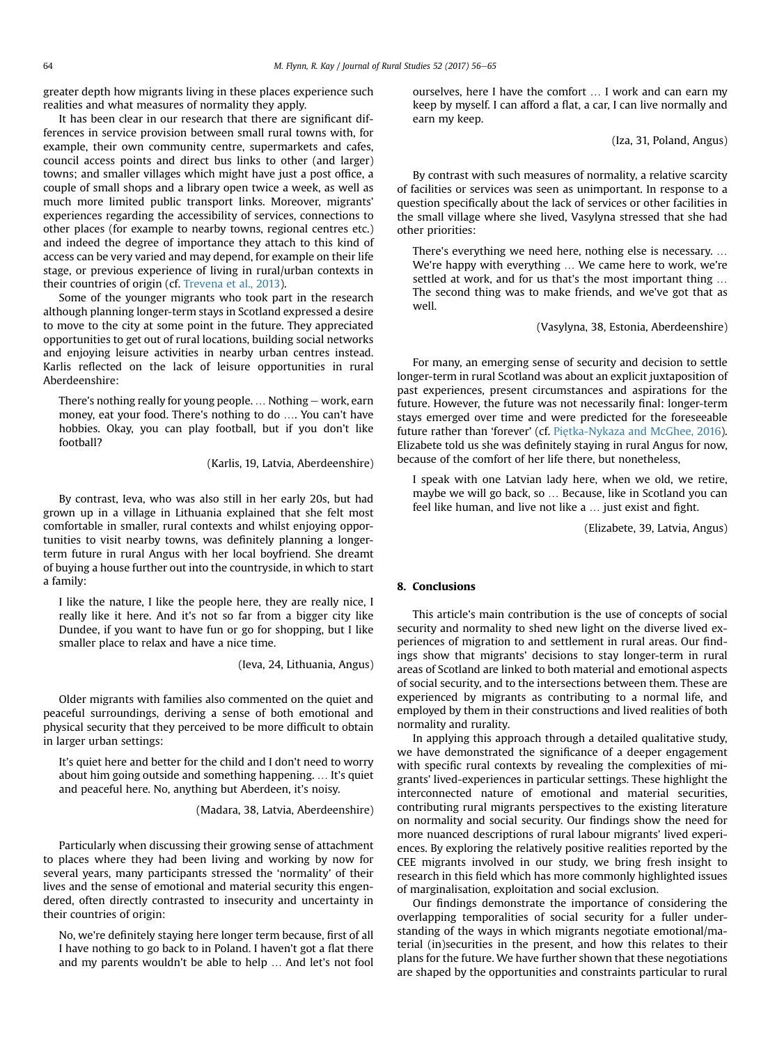greater depth how migrants living in these places experience such realities and what measures of normality they apply.

It has been clear in our research that there are significant differences in service provision between small rural towns with, for example, their own community centre, supermarkets and cafes, council access points and direct bus links to other (and larger) towns; and smaller villages which might have just a post office, a couple of small shops and a library open twice a week, as well as much more limited public transport links. Moreover, migrants' experiences regarding the accessibility of services, connections to other places (for example to nearby towns, regional centres etc.) and indeed the degree of importance they attach to this kind of access can be very varied and may depend, for example on their life stage, or previous experience of living in rural/urban contexts in their countries of origin (cf. [Trevena et al., 2013\)](#page-9-0).

Some of the younger migrants who took part in the research although planning longer-term stays in Scotland expressed a desire to move to the city at some point in the future. They appreciated opportunities to get out of rural locations, building social networks and enjoying leisure activities in nearby urban centres instead. Karlis reflected on the lack of leisure opportunities in rural Aberdeenshire:

There's nothing really for young people.  $\dots$  Nothing  $-$  work, earn money, eat your food. There's nothing to do …. You can't have hobbies. Okay, you can play football, but if you don't like football?

(Karlis, 19, Latvia, Aberdeenshire)

By contrast, Ieva, who was also still in her early 20s, but had grown up in a village in Lithuania explained that she felt most comfortable in smaller, rural contexts and whilst enjoying opportunities to visit nearby towns, was definitely planning a longerterm future in rural Angus with her local boyfriend. She dreamt of buying a house further out into the countryside, in which to start a family:

I like the nature, I like the people here, they are really nice, I really like it here. And it's not so far from a bigger city like Dundee, if you want to have fun or go for shopping, but I like smaller place to relax and have a nice time.

(Ieva, 24, Lithuania, Angus)

Older migrants with families also commented on the quiet and peaceful surroundings, deriving a sense of both emotional and physical security that they perceived to be more difficult to obtain in larger urban settings:

It's quiet here and better for the child and I don't need to worry about him going outside and something happening. … It's quiet and peaceful here. No, anything but Aberdeen, it's noisy.

(Madara, 38, Latvia, Aberdeenshire)

Particularly when discussing their growing sense of attachment to places where they had been living and working by now for several years, many participants stressed the 'normality' of their lives and the sense of emotional and material security this engendered, often directly contrasted to insecurity and uncertainty in their countries of origin:

No, we're definitely staying here longer term because, first of all I have nothing to go back to in Poland. I haven't got a flat there and my parents wouldn't be able to help … And let's not fool ourselves, here I have the comfort … I work and can earn my keep by myself. I can afford a flat, a car, I can live normally and earn my keep.

(Iza, 31, Poland, Angus)

By contrast with such measures of normality, a relative scarcity of facilities or services was seen as unimportant. In response to a question specifically about the lack of services or other facilities in the small village where she lived, Vasylyna stressed that she had other priorities:

There's everything we need here, nothing else is necessary. … We're happy with everything … We came here to work, we're settled at work, and for us that's the most important thing … The second thing was to make friends, and we've got that as well.

# (Vasylyna, 38, Estonia, Aberdeenshire)

For many, an emerging sense of security and decision to settle longer-term in rural Scotland was about an explicit juxtaposition of past experiences, present circumstances and aspirations for the future. However, the future was not necessarily final: longer-term stays emerged over time and were predicted for the foreseeable future rather than 'forever' (cf. [Pie](#page-9-0)[tka-Nykaza and McGhee, 2016\)](#page-9-0). Elizabete told us she was definitely staying in rural Angus for now, because of the comfort of her life there, but nonetheless,

I speak with one Latvian lady here, when we old, we retire, maybe we will go back, so … Because, like in Scotland you can feel like human, and live not like a … just exist and fight.

(Elizabete, 39, Latvia, Angus)

# 8. Conclusions

This article's main contribution is the use of concepts of social security and normality to shed new light on the diverse lived experiences of migration to and settlement in rural areas. Our findings show that migrants' decisions to stay longer-term in rural areas of Scotland are linked to both material and emotional aspects of social security, and to the intersections between them. These are experienced by migrants as contributing to a normal life, and employed by them in their constructions and lived realities of both normality and rurality.

In applying this approach through a detailed qualitative study, we have demonstrated the significance of a deeper engagement with specific rural contexts by revealing the complexities of migrants' lived-experiences in particular settings. These highlight the interconnected nature of emotional and material securities, contributing rural migrants perspectives to the existing literature on normality and social security. Our findings show the need for more nuanced descriptions of rural labour migrants' lived experiences. By exploring the relatively positive realities reported by the CEE migrants involved in our study, we bring fresh insight to research in this field which has more commonly highlighted issues of marginalisation, exploitation and social exclusion.

Our findings demonstrate the importance of considering the overlapping temporalities of social security for a fuller understanding of the ways in which migrants negotiate emotional/material (in)securities in the present, and how this relates to their plans for the future. We have further shown that these negotiations are shaped by the opportunities and constraints particular to rural